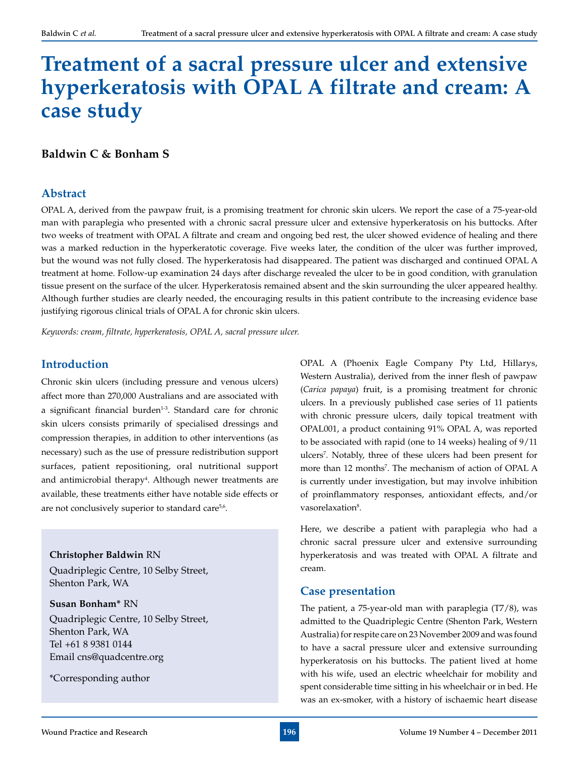# **Treatment of a sacral pressure ulcer and extensive hyperkeratosis with OPAL A filtrate and cream: A case study**

**Baldwin C & Bonham S**

## **Abstract**

OPAL A, derived from the pawpaw fruit, is a promising treatment for chronic skin ulcers. We report the case of a 75-year-old man with paraplegia who presented with a chronic sacral pressure ulcer and extensive hyperkeratosis on his buttocks. After two weeks of treatment with OPAL A filtrate and cream and ongoing bed rest, the ulcer showed evidence of healing and there was a marked reduction in the hyperkeratotic coverage. Five weeks later, the condition of the ulcer was further improved, but the wound was not fully closed. The hyperkeratosis had disappeared. The patient was discharged and continued OPAL A treatment at home. Follow-up examination 24 days after discharge revealed the ulcer to be in good condition, with granulation tissue present on the surface of the ulcer. Hyperkeratosis remained absent and the skin surrounding the ulcer appeared healthy. Although further studies are clearly needed, the encouraging results in this patient contribute to the increasing evidence base justifying rigorous clinical trials of OPAL A for chronic skin ulcers.

*Keywords: cream, filtrate, hyperkeratosis, OPAL A, sacral pressure ulcer.*

## **Introduction**

Chronic skin ulcers (including pressure and venous ulcers) affect more than 270,000 Australians and are associated with a significant financial burden<sup>1-3</sup>. Standard care for chronic skin ulcers consists primarily of specialised dressings and compression therapies, in addition to other interventions (as necessary) such as the use of pressure redistribution support surfaces, patient repositioning, oral nutritional support and antimicrobial therapy<sup>4</sup>. Although newer treatments are available, these treatments either have notable side effects or are not conclusively superior to standard care<sup>5,6</sup>.

**Christopher Baldwin** RN Quadriplegic Centre, 10 Selby Street, Shenton Park, WA

#### **Susan Bonham\*** RN

Quadriplegic Centre, 10 Selby Street, Shenton Park, WA Tel +61 8 9381 0144 Email cns@quadcentre.org

\*Corresponding author

OPAL A (Phoenix Eagle Company Pty Ltd, Hillarys, Western Australia), derived from the inner flesh of pawpaw (*Carica papaya*) fruit, is a promising treatment for chronic ulcers. In a previously published case series of 11 patients with chronic pressure ulcers, daily topical treatment with OPAL001, a product containing 91% OPAL A, was reported to be associated with rapid (one to 14 weeks) healing of 9/11 ulcers7 . Notably, three of these ulcers had been present for more than 12 months<sup>7</sup>. The mechanism of action of OPAL A is currently under investigation, but may involve inhibition of proinflammatory responses, antioxidant effects, and/or vasorelaxation<sup>8</sup>.

Here, we describe a patient with paraplegia who had a chronic sacral pressure ulcer and extensive surrounding hyperkeratosis and was treated with OPAL A filtrate and cream.

#### **Case presentation**

The patient, a 75-year-old man with paraplegia (T7/8), was admitted to the Quadriplegic Centre (Shenton Park, Western Australia) for respite care on 23 November 2009 and was found to have a sacral pressure ulcer and extensive surrounding hyperkeratosis on his buttocks. The patient lived at home with his wife, used an electric wheelchair for mobility and spent considerable time sitting in his wheelchair or in bed. He was an ex-smoker, with a history of ischaemic heart disease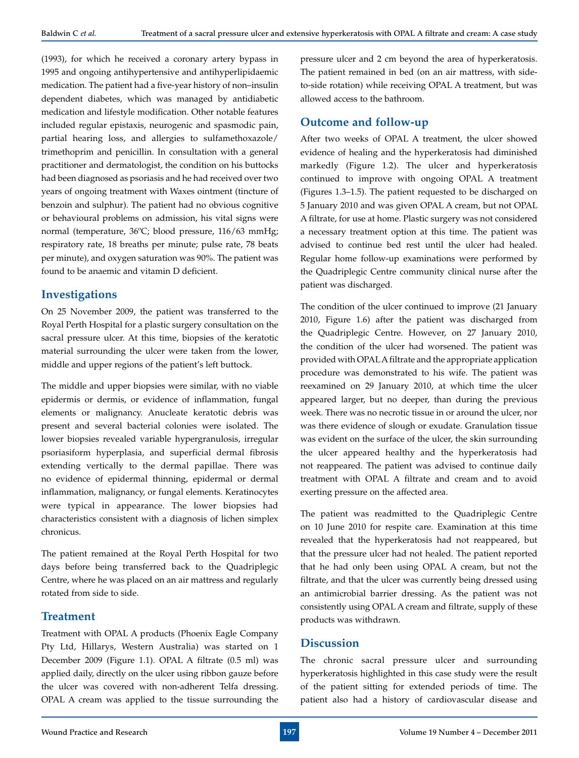(1993), for which he received a coronary artery bypass in 1995 and ongoing antihypertensive and antihyperlipidaemic medication. The patient had a five-year history of non–insulin dependent diabetes, which was managed by antidiabetic medication and lifestyle modification. Other notable features included regular epistaxis, neurogenic and spasmodic pain, partial hearing loss, and allergies to sulfamethoxazole/ trimethoprim and penicillin. In consultation with a general practitioner and dermatologist, the condition on his buttocks had been diagnosed as psoriasis and he had received over two years of ongoing treatment with Waxes ointment (tincture of benzoin and sulphur). The patient had no obvious cognitive or behavioural problems on admission, his vital signs were normal (temperature, 36ºC; blood pressure, 116/63 mmHg; respiratory rate, 18 breaths per minute; pulse rate, 78 beats per minute), and oxygen saturation was 90%. The patient was found to be anaemic and vitamin D deficient.

#### **Investigations**

On 25 November 2009, the patient was transferred to the Royal Perth Hospital for a plastic surgery consultation on the sacral pressure ulcer. At this time, biopsies of the keratotic material surrounding the ulcer were taken from the lower, middle and upper regions of the patient's left buttock.

The middle and upper biopsies were similar, with no viable epidermis or dermis, or evidence of inflammation, fungal elements or malignancy. Anucleate keratotic debris was present and several bacterial colonies were isolated. The lower biopsies revealed variable hypergranulosis, irregular psoriasiform hyperplasia, and superficial dermal fibrosis extending vertically to the dermal papillae. There was no evidence of epidermal thinning, epidermal or dermal inflammation, malignancy, or fungal elements. Keratinocytes were typical in appearance. The lower biopsies had characteristics consistent with a diagnosis of lichen simplex chronicus.

The patient remained at the Royal Perth Hospital for two days before being transferred back to the Quadriplegic Centre, where he was placed on an air mattress and regularly rotated from side to side.

#### **Treatment**

Treatment with OPAL A products (Phoenix Eagle Company Pty Ltd, Hillarys, Western Australia) was started on 1 December 2009 (Figure 1.1). OPAL A filtrate (0.5 ml) was applied daily, directly on the ulcer using ribbon gauze before the ulcer was covered with non-adherent Telfa dressing. OPAL A cream was applied to the tissue surrounding the

pressure ulcer and 2 cm beyond the area of hyperkeratosis. The patient remained in bed (on an air mattress, with sideto-side rotation) while receiving OPAL A treatment, but was allowed access to the bathroom.

# **Outcome and follow-up**

After two weeks of OPAL A treatment, the ulcer showed evidence of healing and the hyperkeratosis had diminished markedly (Figure 1.2). The ulcer and hyperkeratosis continued to improve with ongoing OPAL A treatment (Figures 1.3–1.5). The patient requested to be discharged on 5 January 2010 and was given OPAL A cream, but not OPAL A filtrate, for use at home. Plastic surgery was not considered a necessary treatment option at this time. The patient was advised to continue bed rest until the ulcer had healed. Regular home follow-up examinations were performed by the Quadriplegic Centre community clinical nurse after the patient was discharged.

The condition of the ulcer continued to improve (21 January 2010, Figure 1.6) after the patient was discharged from the Quadriplegic Centre. However, on 27 January 2010, the condition of the ulcer had worsened. The patient was provided with OPAL A filtrate and the appropriate application procedure was demonstrated to his wife. The patient was reexamined on 29 January 2010, at which time the ulcer appeared larger, but no deeper, than during the previous week. There was no necrotic tissue in or around the ulcer, nor was there evidence of slough or exudate. Granulation tissue was evident on the surface of the ulcer, the skin surrounding the ulcer appeared healthy and the hyperkeratosis had not reappeared. The patient was advised to continue daily treatment with OPAL A filtrate and cream and to avoid exerting pressure on the affected area.

The patient was readmitted to the Quadriplegic Centre on 10 June 2010 for respite care. Examination at this time revealed that the hyperkeratosis had not reappeared, but that the pressure ulcer had not healed. The patient reported that he had only been using OPAL A cream, but not the filtrate, and that the ulcer was currently being dressed using an antimicrobial barrier dressing. As the patient was not consistently using OPAL A cream and filtrate, supply of these products was withdrawn.

#### **Discussion**

The chronic sacral pressure ulcer and surrounding hyperkeratosis highlighted in this case study were the result of the patient sitting for extended periods of time. The patient also had a history of cardiovascular disease and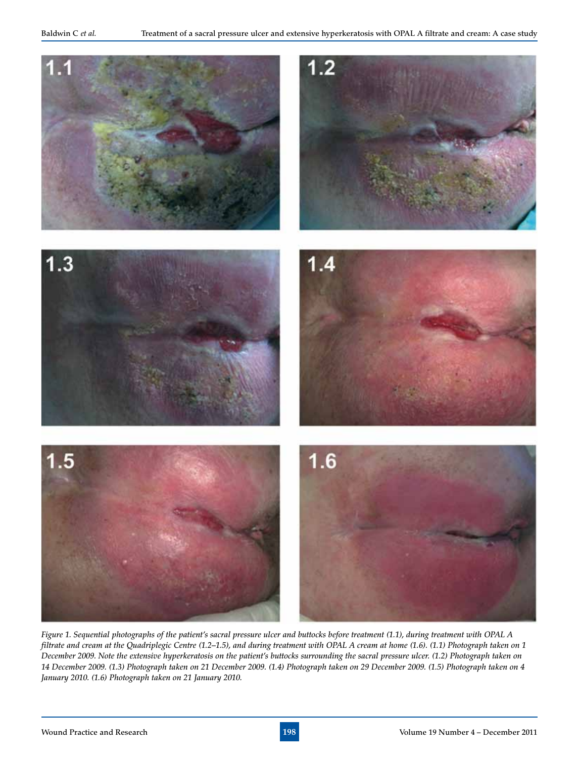

*Figure 1. Sequential photographs of the patient's sacral pressure ulcer and buttocks before treatment (1.1), during treatment with OPAL A filtrate and cream at the Quadriplegic Centre (1.2–1.5), and during treatment with OPAL A cream at home (1.6). (1.1) Photograph taken on 1 December 2009. Note the extensive hyperkeratosis on the patient's buttocks surrounding the sacral pressure ulcer. (1.2) Photograph taken on 14 December 2009. (1.3) Photograph taken on 21 December 2009. (1.4) Photograph taken on 29 December 2009. (1.5) Photograph taken on 4 January 2010. (1.6) Photograph taken on 21 January 2010.*